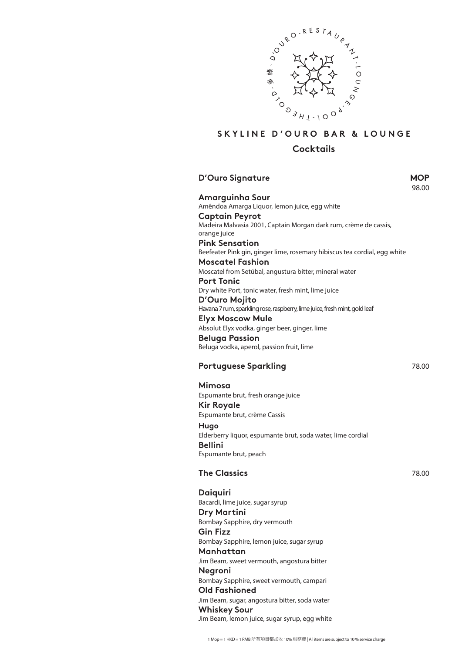

# **SKYLINE D'OURO BAR & LOUNGE Cocktails**

#### D'Ouro Signature MOP 98.00 **Amarguinha Sour** Amêndoa Amarga Liquor, lemon juice, egg white **Captain Peyrot** Madeira Malvasia 2001, Captain Morgan dark rum, crème de cassis, orange juice **Pink Sensation** Beefeater Pink gin, ginger lime, rosemary hibiscus tea cordial, egg white **Moscatel Fashion** Moscatel from Setúbal, angustura bitter, mineral water **Port Tonic** Dry white Port, tonic water, fresh mint, lime juice **D'Ouro Mojito** Havana 7 rum, sparkling rose, raspberry, lime juice, fresh mint, gold leaf **Elyx Moscow Mule** Absolut Elyx vodka, ginger beer, ginger, lime **Beluga Passion**  Beluga vodka, aperol, passion fruit, lime **Portuguese Sparkling** 78.00

#### **Mimosa**

Espumante brut, fresh orange juice **Kir Royale** Espumante brut, crème Cassis **Hugo** Elderberry liquor, espumante brut, soda water, lime cordial **Bellini** Espumante brut, peach

#### **The Classics** 78.00

**Daiquiri** Bacardi, lime juice, sugar syrup **Dry Martini** Bombay Sapphire, dry vermouth **Gin Fizz** Bombay Sapphire, lemon juice, sugar syrup **Manhattan** Jim Beam, sweet vermouth, angostura bitter **Negroni** Bombay Sapphire, sweet vermouth, campari **Old Fashioned** Jim Beam, sugar, angostura bitter, soda water **Whiskey Sour** Jim Beam, lemon juice, sugar syrup, egg white

1 Mop = 1 HKD = 1 RMB 所有項目都加收 10% 服務費 | All items are subject to 10 % service charge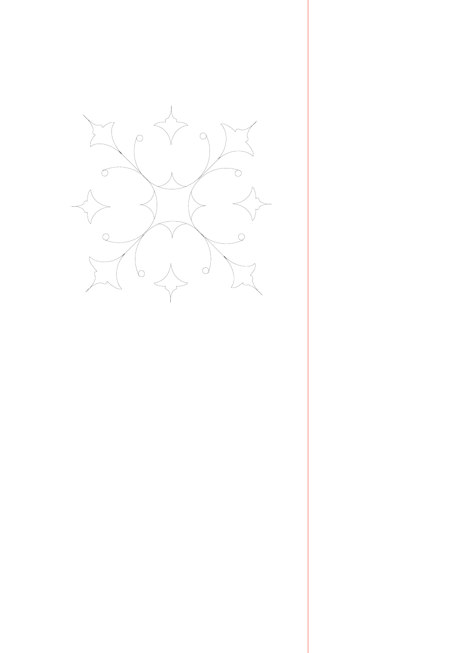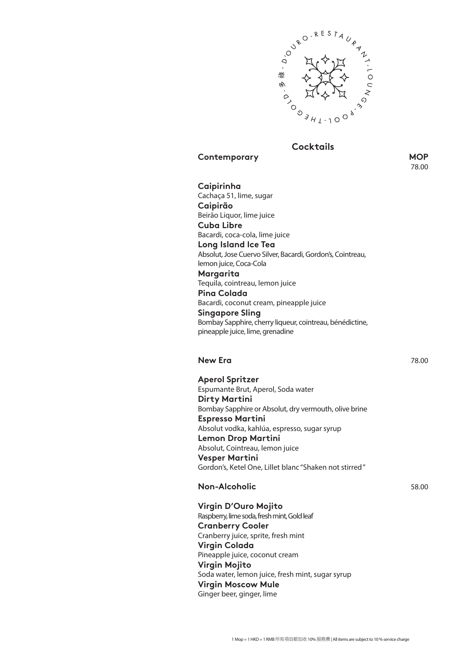

#### **Cocktails**

# **Contemporary MOP**<br>78.00

78.00

#### **Caipirinha**

Cachaça 51, lime, sugar **Caipirão** Beirão Liquor, lime juice **Cuba Libre** Bacardi, coca-cola, lime juice **Long Island Ice Tea** Absolut, Jose Cuervo Silver, Bacardi, Gordon's, Cointreau, lemon juice, Coca-Cola **Margarita** Tequila, cointreau, lemon juice **Pina Colada** Bacardi, coconut cream, pineapple juice **Singapore Sling** Bombay Sapphire, cherry liqueur, cointreau, bénédictine, pineapple juice, lime, grenadine

### **New Era** 78.00

#### **Aperol Spritzer** Espumante Brut, Aperol, Soda water **Dirty Martini** Bombay Sapphire or Absolut, dry vermouth, olive brine **Espresso Martini** Absolut vodka, kahlúa, espresso, sugar syrup **Lemon Drop Martini** Absolut, Cointreau, lemon juice **Vesper Martini** Gordon's, Ketel One, Lillet blanc "Shaken not stirred"

# **Non-Alcoholic** 58.00

# **Virgin D'Ouro Mojito**

Raspberry, lime soda, fresh mint, Gold leaf **Cranberry Cooler** Cranberry juice, sprite, fresh mint **Virgin Colada** Pineapple juice, coconut cream **Virgin Mojito** Soda water, lemon juice, fresh mint, sugar syrup **Virgin Moscow Mule** Ginger beer, ginger, lime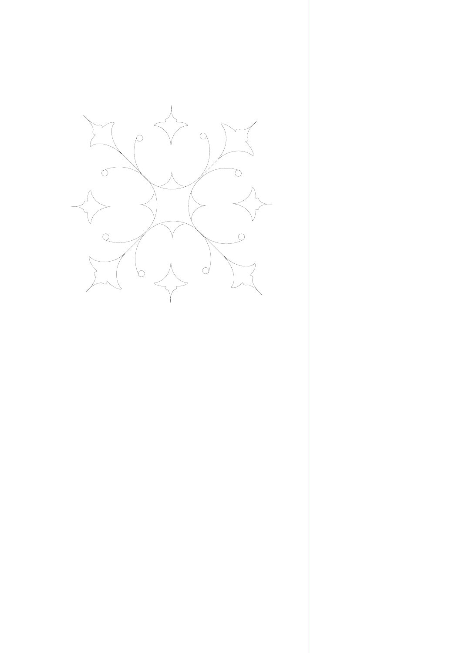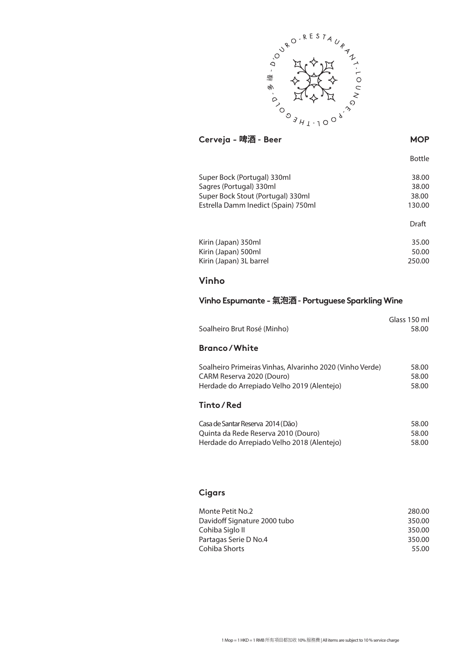

**Cerveja - 啤酒 - Beer MOP** 

Bottle

| Super Bock (Portugal) 330ml         | 38.00  |
|-------------------------------------|--------|
| Sagres (Portugal) 330ml             | 38.00  |
| Super Bock Stout (Portugal) 330ml   | 38.00  |
| Estrella Damm Inedict (Spain) 750ml | 130.00 |
|                                     | Draft  |
| Kirin (Japan) 350ml                 | 35.00  |
| Kirin (Japan) 500ml                 | 50.00  |
| Kirin (Japan) 3L barrel             | 250.00 |
|                                     |        |

# **Vinho**

# **Vinho Espumante - 氣泡酒 - Portuguese Sparkling Wine**

|                             | Glass 150 ml |
|-----------------------------|--------------|
| Soalheiro Brut Rosé (Minho) | 58.00        |

#### **Branco / White**

| Soalheiro Primeiras Vinhas, Alvarinho 2020 (Vinho Verde) | 58.00 |
|----------------------------------------------------------|-------|
| CARM Reserva 2020 (Douro)                                | 58.00 |
| Herdade do Arrepiado Velho 2019 (Alentejo)               | 58.00 |

# **Tinto / Red**

| Casa de Santar Reserva 2014 (Dão)          | 58.00 |
|--------------------------------------------|-------|
| Ouinta da Rede Reserva 2010 (Douro)        | 58.00 |
| Herdade do Arrepiado Velho 2018 (Alentejo) | 58.00 |

# **Cigars**

| Monte Petit No.2             | 280.00 |
|------------------------------|--------|
| Davidoff Signature 2000 tubo | 350.00 |
| Cohiba Siglo II              | 350.00 |
| Partagas Serie D No.4        | 350.00 |
| Cohiba Shorts                | 55.00  |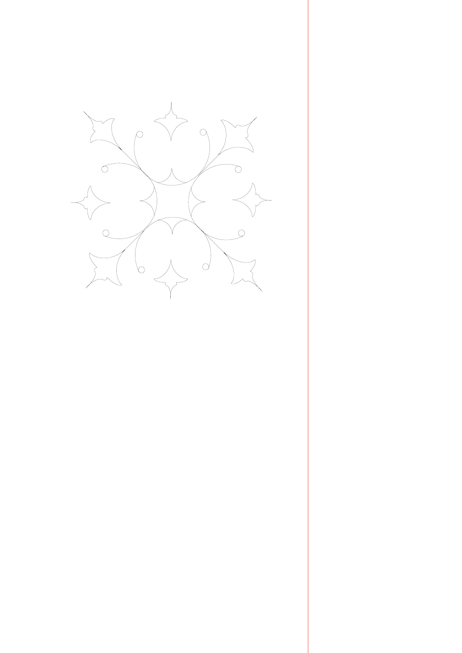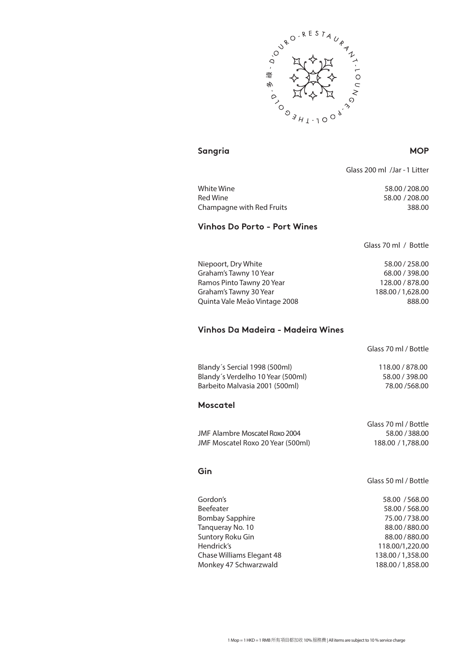

# Sangria MOP

Glass 200 ml /Jar -1 Litter

| 58.00 / 208.00 |
|----------------|
| 58.00 / 208.00 |
| 388.00         |
|                |

### **Vinhos Do Porto - Port Wines**

Glass 70 ml / Bottle

| Niepoort, Dry White           | 58.00 / 258.00    |
|-------------------------------|-------------------|
| Graham's Tawny 10 Year        | 68.00 / 398.00    |
| Ramos Pinto Tawny 20 Year     | 128.00 / 878.00   |
| Graham's Tawny 30 Year        | 188.00 / 1,628.00 |
| Quinta Vale Meão Vintage 2008 | 888.00            |

## **Vinhos Da Madeira - Madeira Wines**

|                                   | Glass 70 ml / Bottle |
|-----------------------------------|----------------------|
| Blandy's Sercial 1998 (500ml)     | 118.00 / 878.00      |
| Blandy's Verdelho 10 Year (500ml) | 58.00 / 398.00       |
| Barbeito Malvasia 2001 (500ml)    | 78.00 / 568.00       |
| <b>Moscatel</b>                   |                      |
|                                   | Glass 70 ml / Bottle |
| JMF Alambre Moscatel Roxo 2004    | 58.00 / 388.00       |
| JMF Moscatel Roxo 20 Year (500ml) | 188.00 / 1,788.00    |
| Gin                               |                      |
|                                   | Glass 50 ml / Bottle |
| Gordon's                          | 58.00 / 568.00       |
| <b>Beefeater</b>                  | 58.00 / 568.00       |
| <b>Bombay Sapphire</b>            | 75.00/738.00         |
| Tanqueray No. 10                  | 88.00/880.00         |
|                                   |                      |
| Suntory Roku Gin                  | 88.00/880.00         |
| Hendrick's                        | 118.00/1,220.00      |
| Chase Williams Elegant 48         | 138.00 / 1,358.00    |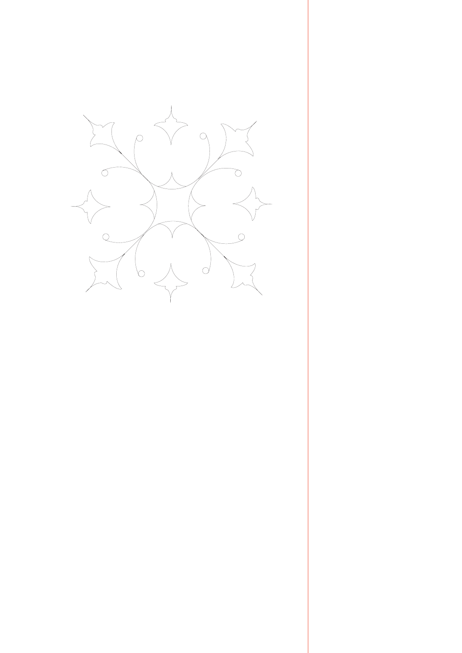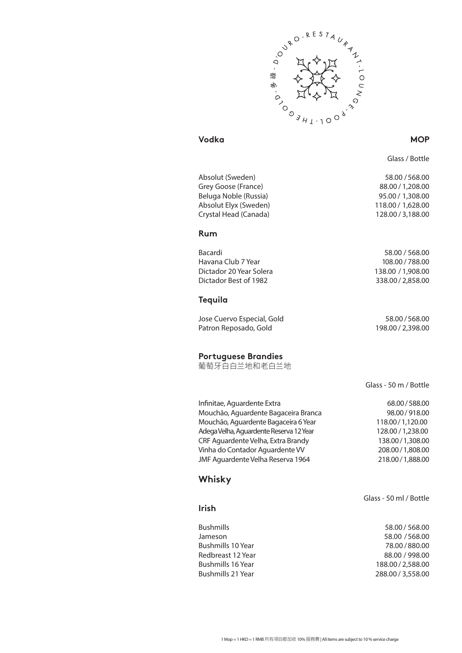

# **Vodka** MOP

Glass / Bottle

| Absolut (Sweden)<br>Grey Goose (France)<br>Beluga Noble (Russia)<br>Absolut Elyx (Sweden)<br>Crystal Head (Canada)                                                                                                                                                   | 58.00 / 568.00<br>88.00 / 1,208.00<br>95.00 / 1,308.00<br>118.00 / 1,628.00<br>128.00 / 3,188.00                                      |
|----------------------------------------------------------------------------------------------------------------------------------------------------------------------------------------------------------------------------------------------------------------------|---------------------------------------------------------------------------------------------------------------------------------------|
| Rum                                                                                                                                                                                                                                                                  |                                                                                                                                       |
| Bacardi<br>Havana Club 7 Year<br>Dictador 20 Year Solera<br>Dictador Best of 1982                                                                                                                                                                                    | 58.00 / 568.00<br>108.00 / 788.00<br>138.00 / 1,908.00<br>338.00 / 2,858.00                                                           |
| <b>Tequila</b>                                                                                                                                                                                                                                                       |                                                                                                                                       |
| Jose Cuervo Especial, Gold<br>Patron Reposado, Gold                                                                                                                                                                                                                  | 58.00 / 568.00<br>198.00 / 2,398.00                                                                                                   |
| <b>Portuguese Brandies</b><br>葡萄牙白白兰地和老白兰地                                                                                                                                                                                                                           |                                                                                                                                       |
|                                                                                                                                                                                                                                                                      | Glass - 50 m / Bottle                                                                                                                 |
| Infinitae, Aguardente Extra<br>Mouchão, Aguardente Bagaceira Branca<br>Mouchão, Aguardente Bagaceira 6 Year<br>Adega Velha, Aguardente Reserva 12 Year<br>CRF Aguardente Velha, Extra Brandy<br>Vinha do Contador Aguardente VV<br>JMF Aguardente Velha Reserva 1964 | 68.00/588.00<br>98.00 / 918.00<br>118.00/1,120.00<br>128.00 / 1,238.00<br>138.00 / 1,308.00<br>208.00 / 1,808.00<br>218.00 / 1,888.00 |
| Whisky                                                                                                                                                                                                                                                               |                                                                                                                                       |
| <b>Irish</b>                                                                                                                                                                                                                                                         | Glass - 50 ml / Bottle                                                                                                                |
| <b>Bushmills</b><br>Jameson<br><b>Bushmills 10 Year</b><br>Redbreast 12 Year<br><b>Bushmills 16 Year</b><br><b>Bushmills 21 Year</b>                                                                                                                                 | 58.00 / 568.00<br>58.00 / 568.00<br>78.00 / 880.00<br>88.00 / 998.00<br>188.00 / 2,588.00<br>288.00 / 3,558.00                        |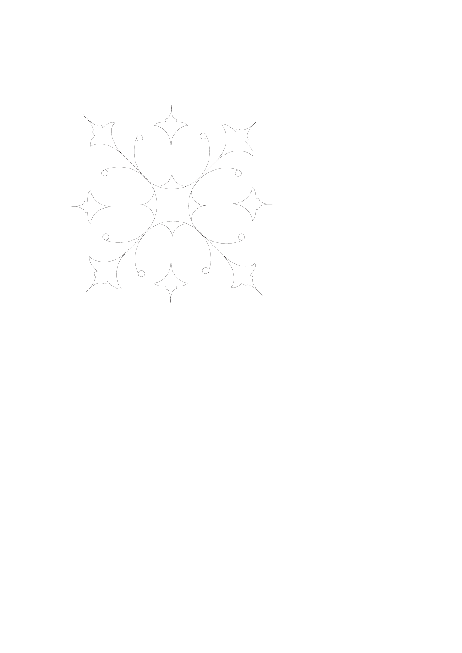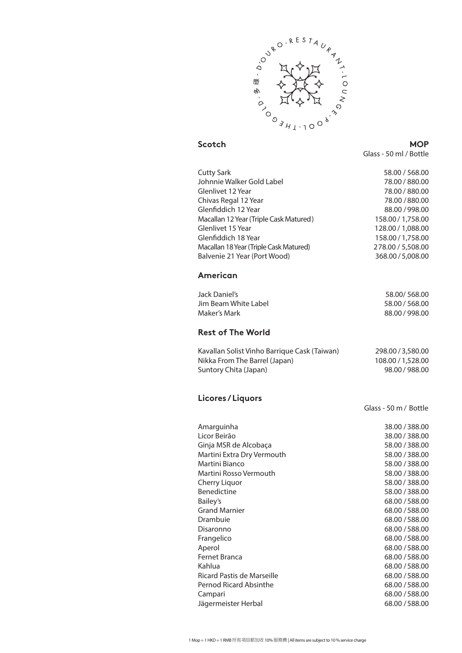

# Scotch MOP

Glass - 50 ml / Bottle

| <b>Cutty Sark</b>                            | 58.00 / 568.00        |
|----------------------------------------------|-----------------------|
| Johnnie Walker Gold Label                    | 78.00 / 880.00        |
| Glenlivet 12 Year                            | 78.00 / 880.00        |
| Chivas Regal 12 Year                         | 78.00 / 880.00        |
| Glenfiddich 12 Year                          | 88.00 / 998.00        |
| Macallan 12 Year (Triple Cask Matured)       | 158.00 / 1,758.00     |
| Glenlivet 15 Year                            | 128.00 / 1,088.00     |
| Glenfiddich 18 Year                          | 158.00 / 1,758.00     |
| Macallan 18 Year (Triple Cask Matured)       | 278.00 / 5,508.00     |
| Balvenie 21 Year (Port Wood)                 | 368.00 / 5,008.00     |
| American                                     |                       |
| Jack Daniel's                                | 58.00/568.00          |
| Jim Beam White Label                         | 58.00 / 568.00        |
| Maker's Mark                                 | 88.00 / 998.00        |
| <b>Rest of The World</b>                     |                       |
| Kavallan Solist Vinho Barrique Cask (Taiwan) | 298.00 / 3,580.00     |
| Nikka From The Barrel (Japan)                | 108.00 / 1,528.00     |
| Suntory Chita (Japan)                        | 98.00 / 988.00        |
| Licores/Liquors                              |                       |
|                                              | Glass - 50 m / Bottle |
| Amarguinha                                   | 38.00 / 388.00        |
| Licor Beirão                                 | 38.00 / 388.00        |
| Ginja MSR de Alcobaça                        | 58.00 / 388.00        |
| Martini Extra Dry Vermouth                   | 58.00 / 388.00        |
| Martini Bianco                               | 58.00 / 388.00        |
| Martini Rosso Vermouth                       | 58.00 / 388.00        |
| Cherry Liquor I                              | 58.00 / 388.00        |

| Amarguinha                 | 38.00 / 388.00 |
|----------------------------|----------------|
| Licor Beirão               | 38.00 / 388.00 |
| Ginja MSR de Alcobaça      | 58.00 / 388.00 |
| Martini Extra Dry Vermouth | 58.00 / 388.00 |
| Martini Bianco             | 58.00 / 388.00 |
| Martini Rosso Vermouth     | 58.00 / 388.00 |
| Cherry Liquor              | 58.00 / 388.00 |
| <b>Benedictine</b>         | 58.00 / 388.00 |
| Bailey's                   | 68.00 / 588.00 |
| <b>Grand Marnier</b>       | 68.00 / 588.00 |
| Drambuie                   | 68.00 / 588.00 |
| Disaronno                  | 68.00 / 588.00 |
| Frangelico                 | 68.00 / 588.00 |
| Aperol                     | 68.00 / 588.00 |
| Fernet Branca              | 68.00 / 588.00 |
| Kahlua                     | 68.00 / 588.00 |
| Ricard Pastis de Marseille | 68.00 / 588.00 |
| Pernod Ricard Absinthe     | 68.00 / 588.00 |
| Campari                    | 68.00 / 588.00 |
| Jägermeister Herbal        | 68.00 / 588.00 |
|                            |                |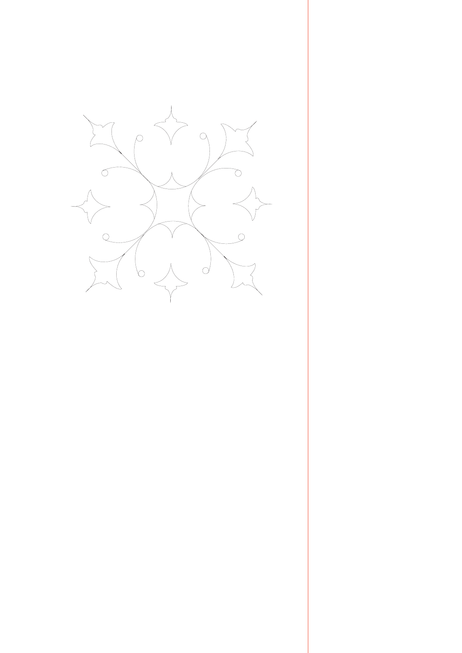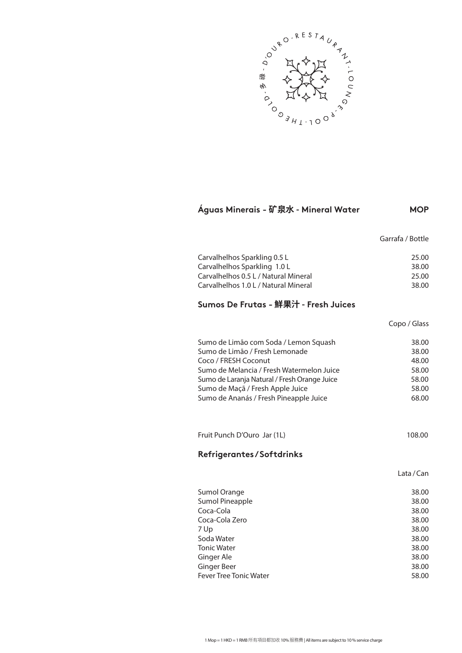

# **Águas Minerais - 矿泉水 - Mineral Water MOP**

Garrafa / Bottle

| 25.00 |
|-------|
| 38.00 |
| 25.00 |
| 38.00 |
|       |

# **Sumos De Frutas - 鮮果汁 - Fresh Juices**

|                                              | Copo / Glass |
|----------------------------------------------|--------------|
| Sumo de Limão com Soda / Lemon Squash        | 38.00        |
| Sumo de Limão / Fresh Lemonade               | 38.00        |
| Coco / FRESH Coconut                         | 48.00        |
| Sumo de Melancia / Fresh Watermelon Juice    | 58.00        |
| Sumo de Laranja Natural / Fresh Orange Juice | 58.00        |
| Sumo de Maçã / Fresh Apple Juice             | 58.00        |
| Sumo de Ananás / Fresh Pineapple Juice       | 68.00        |
|                                              |              |

Fruit Punch D'Ouro Jar (1L) 108.00

# **Refrigerantes / Softdrinks**

Lata / Can

| Sumol Orange           | 38.00 |
|------------------------|-------|
| Sumol Pineapple        | 38.00 |
| Coca-Cola              | 38.00 |
| Coca-Cola Zero         | 38.00 |
| 7 Up                   | 38.00 |
| Soda Water             | 38.00 |
| Tonic Water            | 38.00 |
| Ginger Ale             | 38.00 |
| Ginger Beer            | 38.00 |
| Fever Tree Tonic Water | 58.00 |
|                        |       |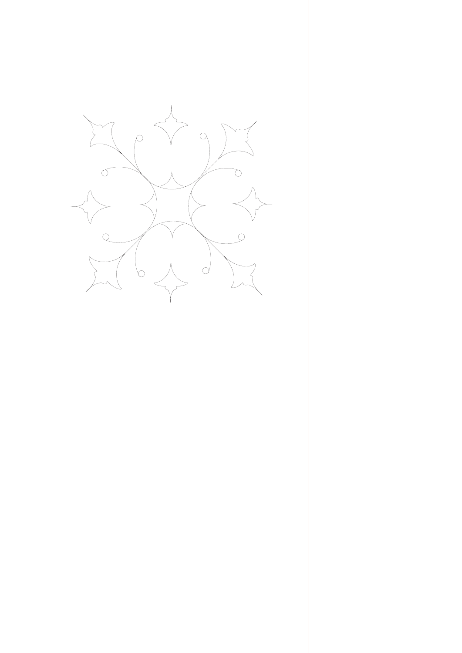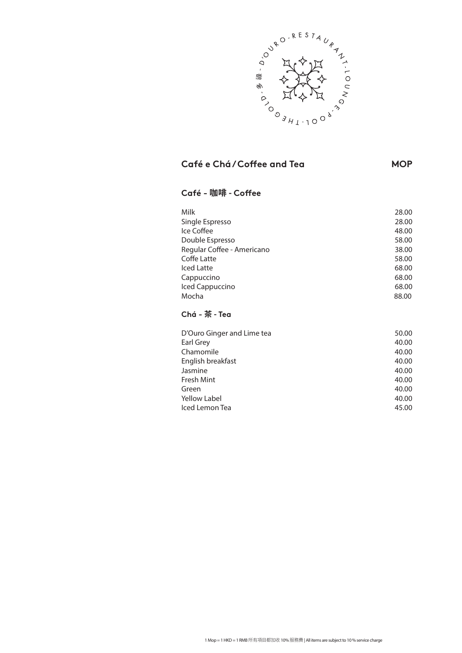

# Café e Chá / Coffee and Tea **MOP**

# **Café - 咖啡 - Coffee**

| Milk                       | 28.00 |
|----------------------------|-------|
| Single Espresso            | 28.00 |
| Ice Coffee                 | 48.00 |
| Double Espresso            | 58.00 |
| Regular Coffee - Americano | 38.00 |
| Coffe Latte                | 58.00 |
| Iced Latte                 | 68.00 |
| Cappuccino                 | 68.00 |
| Iced Cappuccino            | 68.00 |
| Mocha                      | 88.00 |

## **Chá - 茶 - Tea**

| D'Ouro Ginger and Lime tea | 50.00 |
|----------------------------|-------|
| Earl Grey                  | 40.00 |
| Chamomile                  | 40.00 |
| English breakfast          | 40.00 |
| Jasmine                    | 40.00 |
| <b>Fresh Mint</b>          | 40.00 |
| Green                      | 40.00 |
| <b>Yellow Label</b>        | 40.00 |
| Iced Lemon Tea             | 45.00 |
|                            |       |